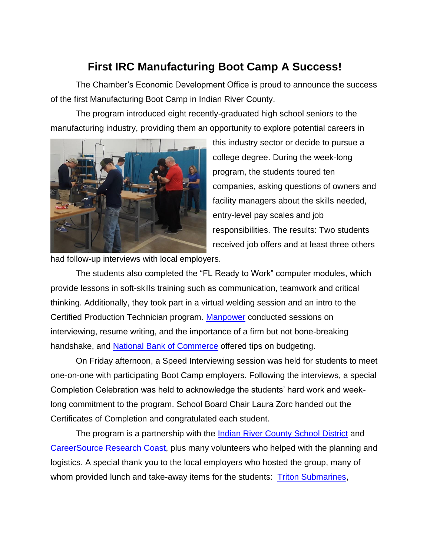## **First IRC Manufacturing Boot Camp A Success!**

The Chamber's Economic Development Office is proud to announce the success of the first Manufacturing Boot Camp in Indian River County.

The program introduced eight recently-graduated high school seniors to the manufacturing industry, providing them an opportunity to explore potential careers in



this industry sector or decide to pursue a college degree. During the week-long program, the students toured ten companies, asking questions of owners and facility managers about the skills needed, entry-level pay scales and job responsibilities. The results: Two students received job offers and at least three others

had follow-up interviews with local employers.

The students also completed the "FL Ready to Work" computer modules, which provide lessons in soft-skills training such as communication, teamwork and critical thinking. Additionally, they took part in a virtual welding session and an intro to the Certified Production Technician program. [Manpower](https://manpowersfl.com/vero-beach/) conducted sessions on interviewing, resume writing, and the importance of a firm but not bone-breaking handshake, and [National Bank of Commerce](https://www.nationalbankofcommerce.com/) offered tips on budgeting.

On Friday afternoon, a Speed Interviewing session was held for students to meet one-on-one with participating Boot Camp employers. Following the interviews, a special Completion Celebration was held to acknowledge the students' hard work and weeklong commitment to the program. School Board Chair Laura Zorc handed out the Certificates of Completion and congratulated each student.

The program is a partnership with the [Indian River County School District](https://www.indianriverschools.org/departments/career_technical_education) and [CareerSource Research Coast,](https://careersourcerc.com/) plus many volunteers who helped with the planning and logistics. A special thank you to the local employers who hosted the group, many of whom provided lunch and take-away items for the students: [Triton Submarines,](https://tritonsubs.com/)